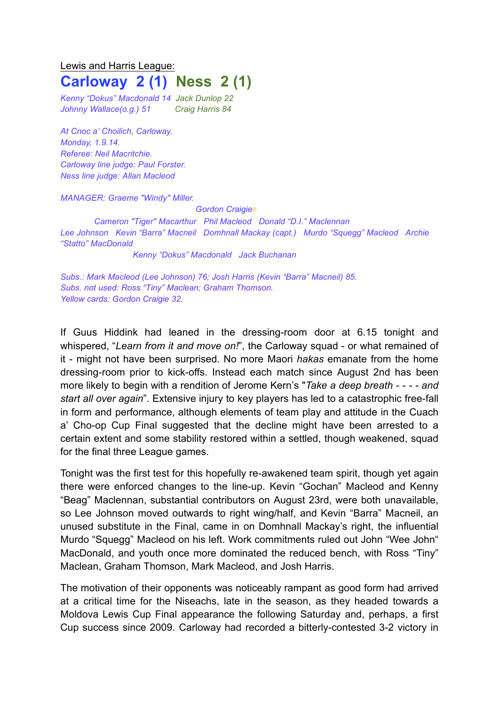## Lewis and Harris League: **Carloway 2 (1) Ness 2 (1)**

*Kenny "Dokus" Macdonald 14 Jack Dunlop 22 Johnny Wallace(o.g.) 51 Craig Harris 84*

*At Cnoc a' Choilich, Carloway. Monday, 1.9.14. Referee: Neil Macritchie. Carloway line judge: Paul Forster. Ness line judge: Allan Macleod*

*MANAGER: Graeme "Windy" Miller.* 

*Gordon Craigie*▩

*Cameron "Tiger" Macarthur Phil Macleod Donald "D.I." Maclennan Lee Johnson Kevin "Barra" Macneil Domhnall Mackay (capt.) Murdo "Squegg" Macleod Archie "Statto" MacDonald*

*Kenny "Dokus" Macdonald Jack Buchanan*

*Subs.: Mark Macleod (Lee Johnson) 76; Josh Harris (Kevin "Barra" Macneil) 85. Subs. not used: Ross "Tiny" Maclean; Graham Thomson. Yellow cards: Gordon Craigie 32.*

If Guus Hiddink had leaned in the dressing-room door at 6.15 tonight and whispered, "*Learn from it and move on!*", the Carloway squad - or what remained of it - might not have been surprised. No more Maori *hakas* emanate from the home dressing-room prior to kick-offs. Instead each match since August 2nd has been more likely to begin with a rendition of Jerome Kern's "*Take a deep breath - - - - and start all over again*". Extensive injury to key players has led to a catastrophic free-fall in form and performance, although elements of team play and attitude in the Cuach a' Cho-op Cup Final suggested that the decline might have been arrested to a certain extent and some stability restored within a settled, though weakened, squad for the final three League games.

Tonight was the first test for this hopefully re-awakened team spirit, though yet again there were enforced changes to the line-up. Kevin "Gochan" Macleod and Kenny "Beag" Maclennan, substantial contributors on August 23rd, were both unavailable, so Lee Johnson moved outwards to right wing/half, and Kevin "Barra" Macneil, an unused substitute in the Final, came in on Domhnall Mackay's right, the influential Murdo "Squegg" Macleod on his left. Work commitments ruled out John "Wee John" MacDonald, and youth once more dominated the reduced bench, with Ross "Tiny" Maclean, Graham Thomson, Mark Macleod, and Josh Harris.

The motivation of their opponents was noticeably rampant as good form had arrived at a critical time for the Niseachs, late in the season, as they headed towards a Moldova Lewis Cup Final appearance the following Saturday and, perhaps, a first Cup success since 2009. Carloway had recorded a bitterly-contested 3-2 victory in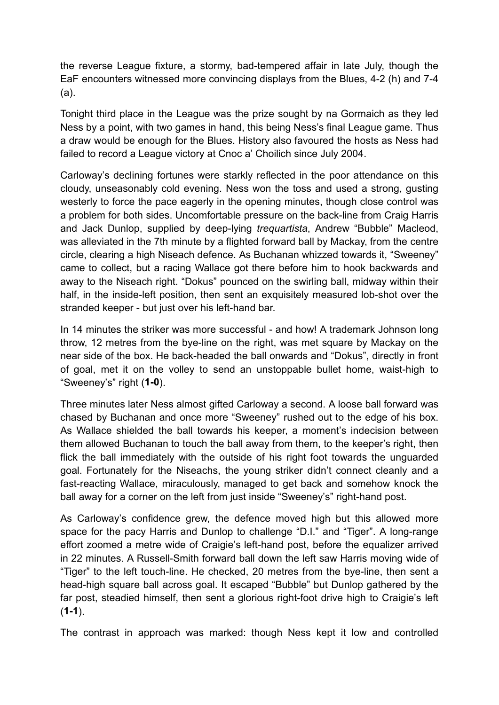the reverse League fixture, a stormy, bad-tempered affair in late July, though the EaF encounters witnessed more convincing displays from the Blues, 4-2 (h) and 7-4 (a).

Tonight third place in the League was the prize sought by na Gormaich as they led Ness by a point, with two games in hand, this being Ness's final League game. Thus a draw would be enough for the Blues. History also favoured the hosts as Ness had failed to record a League victory at Cnoc a' Choilich since July 2004.

Carloway's declining fortunes were starkly reflected in the poor attendance on this cloudy, unseasonably cold evening. Ness won the toss and used a strong, gusting westerly to force the pace eagerly in the opening minutes, though close control was a problem for both sides. Uncomfortable pressure on the back-line from Craig Harris and Jack Dunlop, supplied by deep-lying *trequartista*, Andrew "Bubble" Macleod, was alleviated in the 7th minute by a flighted forward ball by Mackay, from the centre circle, clearing a high Niseach defence. As Buchanan whizzed towards it, "Sweeney" came to collect, but a racing Wallace got there before him to hook backwards and away to the Niseach right. "Dokus" pounced on the swirling ball, midway within their half, in the inside-left position, then sent an exquisitely measured lob-shot over the stranded keeper - but just over his left-hand bar.

In 14 minutes the striker was more successful - and how! A trademark Johnson long throw, 12 metres from the bye-line on the right, was met square by Mackay on the near side of the box. He back-headed the ball onwards and "Dokus", directly in front of goal, met it on the volley to send an unstoppable bullet home, waist-high to "Sweeney's" right (**1-0**).

Three minutes later Ness almost gifted Carloway a second. A loose ball forward was chased by Buchanan and once more "Sweeney" rushed out to the edge of his box. As Wallace shielded the ball towards his keeper, a moment's indecision between them allowed Buchanan to touch the ball away from them, to the keeper's right, then flick the ball immediately with the outside of his right foot towards the unguarded goal. Fortunately for the Niseachs, the young striker didn't connect cleanly and a fast-reacting Wallace, miraculously, managed to get back and somehow knock the ball away for a corner on the left from just inside "Sweeney's" right-hand post.

As Carloway's confidence grew, the defence moved high but this allowed more space for the pacy Harris and Dunlop to challenge "D.I." and "Tiger". A long-range effort zoomed a metre wide of Craigie's left-hand post, before the equalizer arrived in 22 minutes. A Russell-Smith forward ball down the left saw Harris moving wide of "Tiger" to the left touch-line. He checked, 20 metres from the bye-line, then sent a head-high square ball across goal. It escaped "Bubble" but Dunlop gathered by the far post, steadied himself, then sent a glorious right-foot drive high to Craigie's left (**1-1**).

The contrast in approach was marked: though Ness kept it low and controlled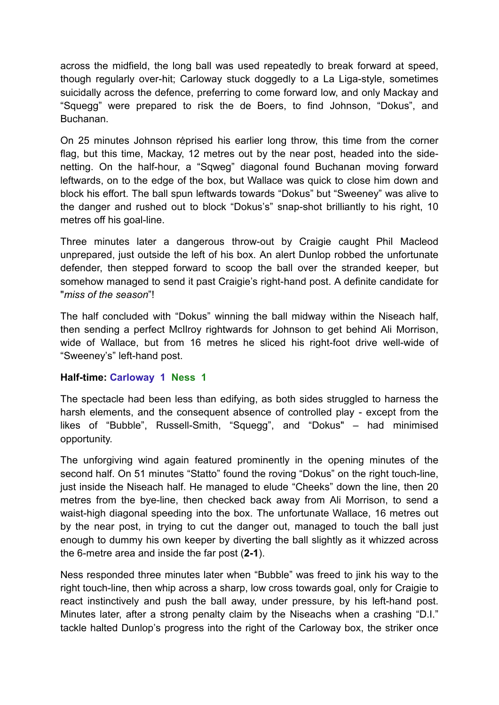across the midfield, the long ball was used repeatedly to break forward at speed, though regularly over-hit; Carloway stuck doggedly to a La Liga-style, sometimes suicidally across the defence, preferring to come forward low, and only Mackay and "Squegg" were prepared to risk the de Boers, to find Johnson, "Dokus", and Buchanan.

On 25 minutes Johnson rėprised his earlier long throw, this time from the corner flag, but this time, Mackay, 12 metres out by the near post, headed into the sidenetting. On the half-hour, a "Sqweg" diagonal found Buchanan moving forward leftwards, on to the edge of the box, but Wallace was quick to close him down and block his effort. The ball spun leftwards towards "Dokus" but "Sweeney" was alive to the danger and rushed out to block "Dokus's" snap-shot brilliantly to his right, 10 metres off his goal-line.

Three minutes later a dangerous throw-out by Craigie caught Phil Macleod unprepared, just outside the left of his box. An alert Dunlop robbed the unfortunate defender, then stepped forward to scoop the ball over the stranded keeper, but somehow managed to send it past Craigie's right-hand post. A definite candidate for "*miss of the season*"!

The half concluded with "Dokus" winning the ball midway within the Niseach half, then sending a perfect McIlroy rightwards for Johnson to get behind Ali Morrison, wide of Wallace, but from 16 metres he sliced his right-foot drive well-wide of "Sweeney's" left-hand post.

## **Half-time: Carloway 1 Ness 1**

The spectacle had been less than edifying, as both sides struggled to harness the harsh elements, and the consequent absence of controlled play - except from the likes of "Bubble", Russell-Smith, "Squegg", and "Dokus" – had minimised opportunity.

The unforgiving wind again featured prominently in the opening minutes of the second half. On 51 minutes "Statto" found the roving "Dokus" on the right touch-line, just inside the Niseach half. He managed to elude "Cheeks" down the line, then 20 metres from the bye-line, then checked back away from Ali Morrison, to send a waist-high diagonal speeding into the box. The unfortunate Wallace, 16 metres out by the near post, in trying to cut the danger out, managed to touch the ball just enough to dummy his own keeper by diverting the ball slightly as it whizzed across the 6-metre area and inside the far post (**2-1**).

Ness responded three minutes later when "Bubble" was freed to jink his way to the right touch-line, then whip across a sharp, low cross towards goal, only for Craigie to react instinctively and push the ball away, under pressure, by his left-hand post. Minutes later, after a strong penalty claim by the Niseachs when a crashing "D.I." tackle halted Dunlop's progress into the right of the Carloway box, the striker once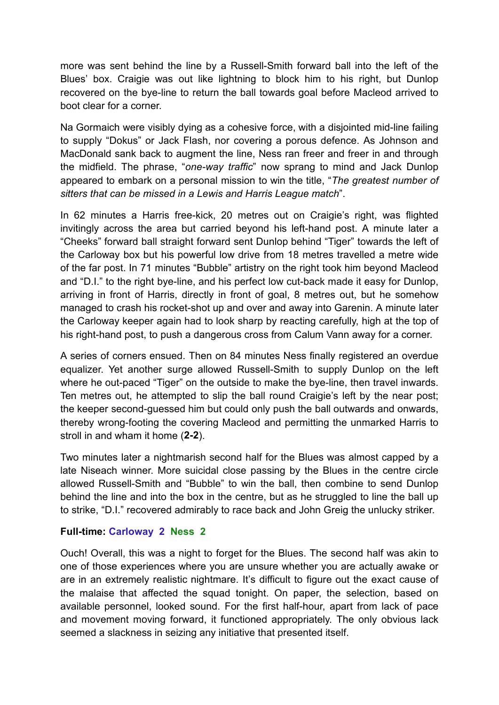more was sent behind the line by a Russell-Smith forward ball into the left of the Blues' box. Craigie was out like lightning to block him to his right, but Dunlop recovered on the bye-line to return the ball towards goal before Macleod arrived to boot clear for a corner.

Na Gormaich were visibly dying as a cohesive force, with a disjointed mid-line failing to supply "Dokus" or Jack Flash, nor covering a porous defence. As Johnson and MacDonald sank back to augment the line, Ness ran freer and freer in and through the midfield. The phrase, "*one-way traffic*" now sprang to mind and Jack Dunlop appeared to embark on a personal mission to win the title, "*The greatest number of sitters that can be missed in a Lewis and Harris League match*".

In 62 minutes a Harris free-kick, 20 metres out on Craigie's right, was flighted invitingly across the area but carried beyond his left-hand post. A minute later a "Cheeks" forward ball straight forward sent Dunlop behind "Tiger" towards the left of the Carloway box but his powerful low drive from 18 metres travelled a metre wide of the far post. In 71 minutes "Bubble" artistry on the right took him beyond Macleod and "D.I." to the right bye-line, and his perfect low cut-back made it easy for Dunlop, arriving in front of Harris, directly in front of goal, 8 metres out, but he somehow managed to crash his rocket-shot up and over and away into Garenin. A minute later the Carloway keeper again had to look sharp by reacting carefully, high at the top of his right-hand post, to push a dangerous cross from Calum Vann away for a corner.

A series of corners ensued. Then on 84 minutes Ness finally registered an overdue equalizer. Yet another surge allowed Russell-Smith to supply Dunlop on the left where he out-paced "Tiger" on the outside to make the bye-line, then travel inwards. Ten metres out, he attempted to slip the ball round Craigie's left by the near post; the keeper second-guessed him but could only push the ball outwards and onwards, thereby wrong-footing the covering Macleod and permitting the unmarked Harris to stroll in and wham it home (**2-2**).

Two minutes later a nightmarish second half for the Blues was almost capped by a late Niseach winner. More suicidal close passing by the Blues in the centre circle allowed Russell-Smith and "Bubble" to win the ball, then combine to send Dunlop behind the line and into the box in the centre, but as he struggled to line the ball up to strike, "D.I." recovered admirably to race back and John Greig the unlucky striker.

## **Full-time: Carloway 2 Ness 2**

Ouch! Overall, this was a night to forget for the Blues. The second half was akin to one of those experiences where you are unsure whether you are actually awake or are in an extremely realistic nightmare. It's difficult to figure out the exact cause of the malaise that affected the squad tonight. On paper, the selection, based on available personnel, looked sound. For the first half-hour, apart from lack of pace and movement moving forward, it functioned appropriately. The only obvious lack seemed a slackness in seizing any initiative that presented itself.